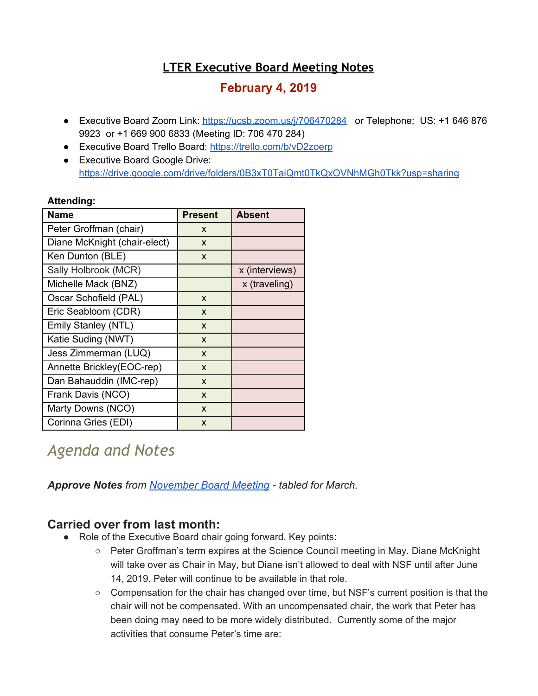# **LTER Executive Board Meeting Notes**

## **February 4, 2019**

- Executive Board Zoom Link: <https://ucsb.zoom.us/j/706470284> or Telephone: US: +1 646 876 9923 or +1 669 900 6833 (Meeting ID: 706 470 284)
- Executive Board Trello Board: <https://trello.com/b/vD2zoerp>
- Executive Board Google Drive: <https://drive.google.com/drive/folders/0B3xT0TaiQmt0TkQxOVNhMGh0Tkk?usp=sharing>

#### **Attending:**

| <b>Name</b>                  | <b>Present</b> | <b>Absent</b>  |
|------------------------------|----------------|----------------|
| Peter Groffman (chair)       | X              |                |
| Diane McKnight (chair-elect) | X              |                |
| Ken Dunton (BLE)             | X              |                |
| Sally Holbrook (MCR)         |                | x (interviews) |
| Michelle Mack (BNZ)          |                | x (traveling)  |
| Oscar Schofield (PAL)        | X              |                |
| Eric Seabloom (CDR)          | X              |                |
| Emily Stanley (NTL)          | X              |                |
| Katie Suding (NWT)           | X              |                |
| Jess Zimmerman (LUQ)         | X              |                |
| Annette Brickley(EOC-rep)    | X              |                |
| Dan Bahauddin (IMC-rep)      | X              |                |
| Frank Davis (NCO)            | X              |                |
| Marty Downs (NCO)            | X              |                |
| Corinna Gries (EDI)          | X              |                |

# *Agenda and Notes*

*Approve Notes from [November Board Meeting](https://docs.google.com/document/d/1yZ9Ugnk8Cz8Xh43WK-Qq7KmhivI0qUQN8Dx2Octpvoo) - tabled for March.*

### **Carried over from last month:**

- Role of the Executive Board chair going forward. Key points:
	- Peter Groffman's term expires at the Science Council meeting in May. Diane McKnight will take over as Chair in May, but Diane isn't allowed to deal with NSF until after June 14, 2019. Peter will continue to be available in that role.
	- Compensation for the chair has changed over time, but NSF's current position is that the chair will not be compensated. With an uncompensated chair, the work that Peter has been doing may need to be more widely distributed. Currently some of the major activities that consume Peter's time are: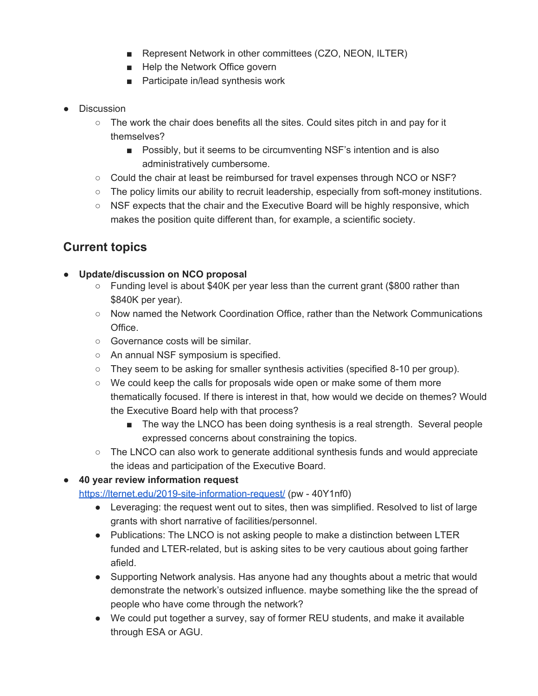- Represent Network in other committees (CZO, NEON, ILTER)
- Help the Network Office govern
- Participate in/lead synthesis work
- Discussion
	- $\circ$  The work the chair does benefits all the sites. Could sites pitch in and pay for it themselves?
		- Possibly, but it seems to be circumventing NSF's intention and is also administratively cumbersome.
	- Could the chair at least be reimbursed for travel expenses through NCO or NSF?
	- $\circ$  The policy limits our ability to recruit leadership, especially from soft-money institutions.
	- $\circ$  NSF expects that the chair and the Executive Board will be highly responsive, which makes the position quite different than, for example, a scientific society.

# **Current topics**

#### **● Update/discussion on NCO proposal**

- $\circ$  Funding level is about \$40K per year less than the current grant (\$800 rather than \$840K per year).
- Now named the Network Coordination Office, rather than the Network Communications Office.
- Governance costs will be similar.
- An annual NSF symposium is specified.
- $\circ$  They seem to be asking for smaller synthesis activities (specified 8-10 per group).
- We could keep the calls for proposals wide open or make some of them more thematically focused. If there is interest in that, how would we decide on themes? Would the Executive Board help with that process?
	- The way the LNCO has been doing synthesis is a real strength. Several people expressed concerns about constraining the topics.
- $\circ$  The LNCO can also work to generate additional synthesis funds and would appreciate the ideas and participation of the Executive Board.

### **● 40 year review information request**

### <https://lternet.edu/2019-site-information-request/> (pw - 40Y1nf0)

- Leveraging: the request went out to sites, then was simplified. Resolved to list of large grants with short narrative of facilities/personnel.
- Publications: The LNCO is not asking people to make a distinction between LTER funded and LTER-related, but is asking sites to be very cautious about going farther afield.
- Supporting Network analysis. Has anyone had any thoughts about a metric that would demonstrate the network's outsized influence. maybe something like the the spread of people who have come through the network?
- We could put together a survey, say of former REU students, and make it available through ESA or AGU.